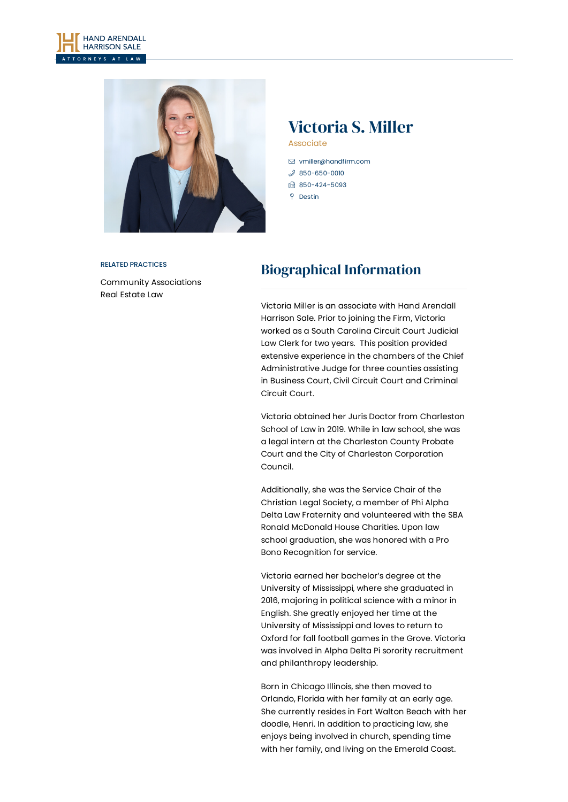



# Victoria S. Miller

**Associate** 

 [vmiller@handfirm.com](mailto:vmiller@handfirm.com)  $$850-650-0010$  $$850-650-0010$ ■ 850-424-5093  $Q$  Destin

#### RELATED PRACTICES

Community [Associations](https://www.handfirm.com/practices/business-services/community-associations/) Real [Estate](https://www.handfirm.com/practices/business-services/real-estate-law/) Law

## Biographical Information

Victoria Miller is an associate with Hand Arendall Harrison Sale. Prior to joining the Firm, Victoria worked as a South Carolina Circuit Court Judicial Law Clerk for two years. This position provided extensive experience in the chambers of the Chief Administrative Judge for three counties assisting in Business Court, Civil Circuit Court and Criminal Circuit Court.

Victoria obtained her Juris Doctor from Charleston School of Law in 2019. While in law school, she was a legal intern at the Charleston County Probate Court and the City of Charleston Corporation Council.

Additionally, she was the Service Chair of the Christian Legal Society, a member of Phi Alpha Delta Law Fraternity and volunteered with the SBA Ronald McDonald House Charities. Upon law school graduation, she was honored with a Pro Bono Recognition for service.

Victoria earned her bachelor's degree at the University of Mississippi, where she graduated in 2016, majoring in political science with a minor in English. She greatly enjoyed her time at the University of Mississippi and loves to return to Oxford for fall football games in the Grove. Victoria was involved in Alpha Delta Pi sorority recruitment and philanthropy leadership.

Born in Chicago Illinois, she then moved to Orlando, Florida with her family at an early age. She currently resides in Fort Walton Beach with her doodle, Henri. In addition to practicing law, she enjoys being involved in church, spending time with her family, and living on the Emerald Coast.